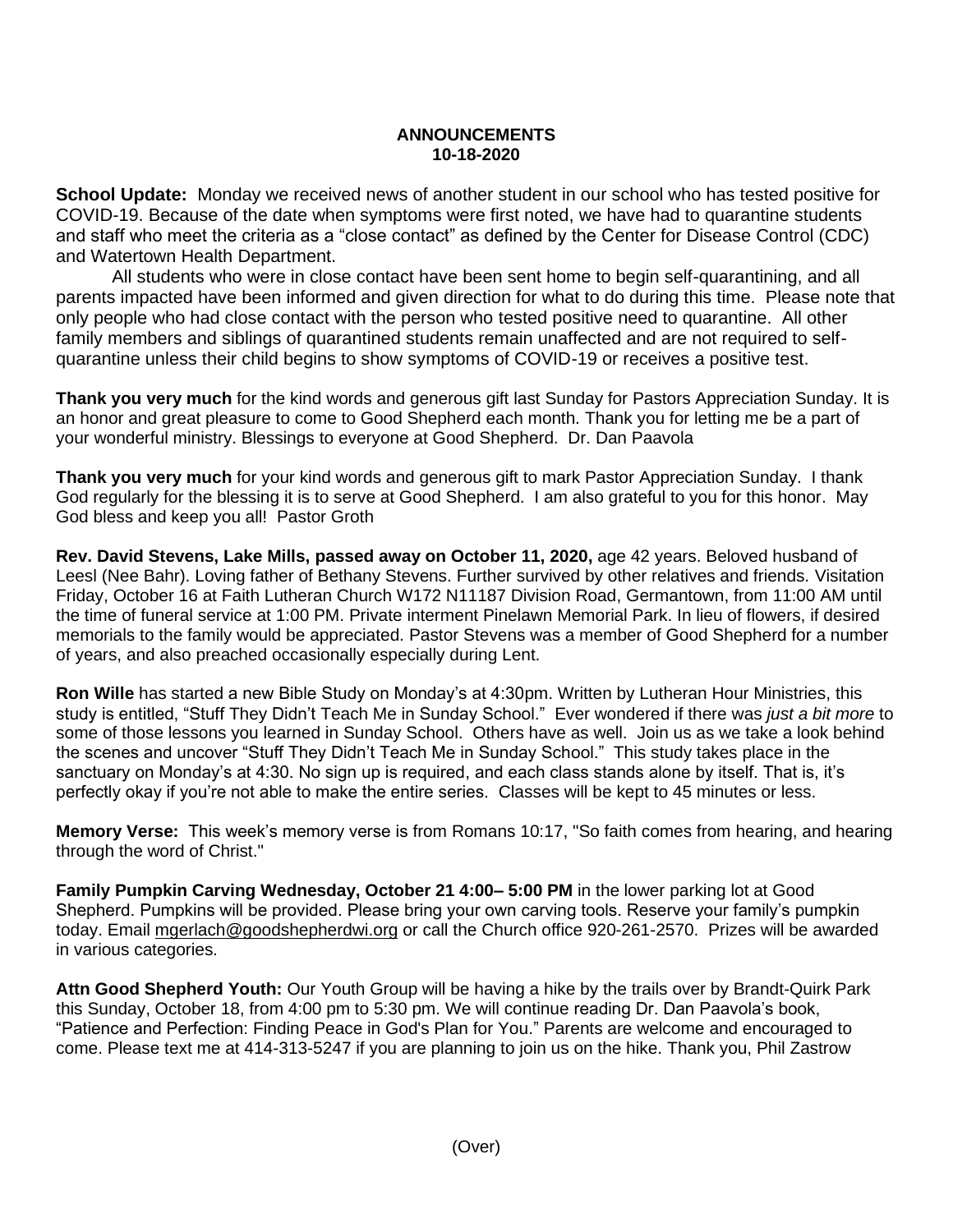## **ANNOUNCEMENTS 10-18-2020**

**School Update:** Monday we received news of another student in our school who has tested positive for COVID-19. Because of the date when symptoms were first noted, we have had to quarantine students and staff who meet the criteria as a "close contact" as defined by the Center for Disease Control (CDC) and Watertown Health Department.

All students who were in close contact have been sent home to begin self-quarantining, and all parents impacted have been informed and given direction for what to do during this time. Please note that only people who had close contact with the person who tested positive need to quarantine. All other family members and siblings of quarantined students remain unaffected and are not required to selfquarantine unless their child begins to show symptoms of COVID-19 or receives a positive test.

**Thank you very much** for the kind words and generous gift last Sunday for Pastors Appreciation Sunday. It is an honor and great pleasure to come to Good Shepherd each month. Thank you for letting me be a part of your wonderful ministry. Blessings to everyone at Good Shepherd. Dr. Dan Paavola

**Thank you very much** for your kind words and generous gift to mark Pastor Appreciation Sunday. I thank God regularly for the blessing it is to serve at Good Shepherd. I am also grateful to you for this honor. May God bless and keep you all! Pastor Groth

**Rev. David Stevens, Lake Mills, passed away on October 11, 2020,** age 42 years. Beloved husband of Leesl (Nee Bahr). Loving father of Bethany Stevens. Further survived by other relatives and friends. Visitation Friday, October 16 at Faith Lutheran Church W172 N11187 Division Road, Germantown, from 11:00 AM until the time of funeral service at 1:00 PM. Private interment Pinelawn Memorial Park. In lieu of flowers, if desired memorials to the family would be appreciated. Pastor Stevens was a member of Good Shepherd for a number of years, and also preached occasionally especially during Lent.

**Ron Wille** has started a new Bible Study on Monday's at 4:30pm. Written by Lutheran Hour Ministries, this study is entitled, "Stuff They Didn't Teach Me in Sunday School." Ever wondered if there was *just a bit more* to some of those lessons you learned in Sunday School. Others have as well. Join us as we take a look behind the scenes and uncover "Stuff They Didn't Teach Me in Sunday School." This study takes place in the sanctuary on Monday's at 4:30. No sign up is required, and each class stands alone by itself. That is, it's perfectly okay if you're not able to make the entire series. Classes will be kept to 45 minutes or less.

**Memory Verse:** This week's memory verse is from Romans 10:17, "So faith comes from hearing, and hearing through the word of Christ."

**Family Pumpkin Carving Wednesday, October 21 4:00– 5:00 PM** in the lower parking lot at Good Shepherd. Pumpkins will be provided. Please bring your own carving tools. Reserve your family's pumpkin today. Email mgerlach@goodshepherdwi.org or call the Church office 920-261-2570. Prizes will be awarded in various categories.

**Attn Good Shepherd Youth:** Our Youth Group will be having a hike by the trails over by Brandt-Quirk Park this Sunday, October 18, from 4:00 pm to 5:30 pm. We will continue reading Dr. Dan Paavola's book, "Patience and Perfection: Finding Peace in God's Plan for You." Parents are welcome and encouraged to come. Please text me at 414-313-5247 if you are planning to join us on the hike. Thank you, Phil Zastrow